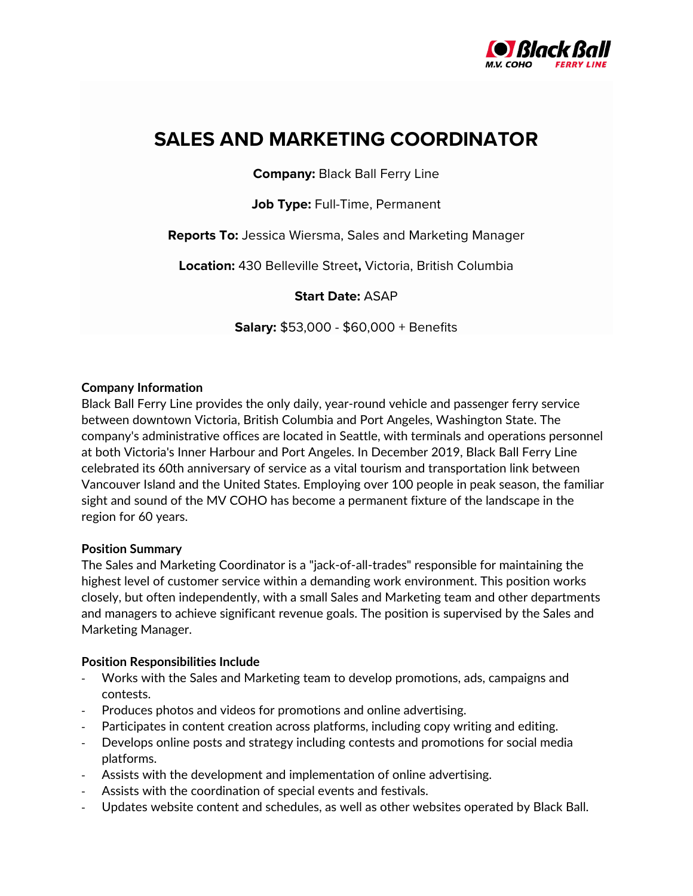

# **SALES AND MARKETING COORDINATOR**

**Company:** Black Ball Ferry Line

**Job Type:** Full-Time, Permanent

**Reports To:** Jessica Wiersma, Sales and Marketing Manager

**Location:** 430 Belleville Street**,** Victoria, British Columbia

## **Start Date:** ASAP

**Salary:** \$53,000 - \$60,000 + Benefits

### **Company Information**

Black Ball Ferry Line provides the only daily, year-round vehicle and passenger ferry service between downtown Victoria, British Columbia and Port Angeles, Washington State. The company's administrative offices are located in Seattle, with terminals and operations personnel at both Victoria's Inner Harbour and Port Angeles. In December 2019, Black Ball Ferry Line celebrated its 60th anniversary of service as a vital tourism and transportation link between Vancouver Island and the United States. Employing over 100 people in peak season, the familiar sight and sound of the MV COHO has become a permanent fixture of the landscape in the region for 60 years.

#### **Position Summary**

The Sales and Marketing Coordinator is a "jack-of-all-trades" responsible for maintaining the highest level of customer service within a demanding work environment. This position works closely, but often independently, with a small Sales and Marketing team and other departments and managers to achieve significant revenue goals. The position is supervised by the Sales and Marketing Manager.

#### **Position Responsibilities Include**

- Works with the Sales and Marketing team to develop promotions, ads, campaigns and contests.
- Produces photos and videos for promotions and online advertising.
- Participates in content creation across platforms, including copy writing and editing.
- Develops online posts and strategy including contests and promotions for social media platforms.
- Assists with the development and implementation of online advertising.
- Assists with the coordination of special events and festivals.
- Updates website content and schedules, as well as other websites operated by Black Ball.